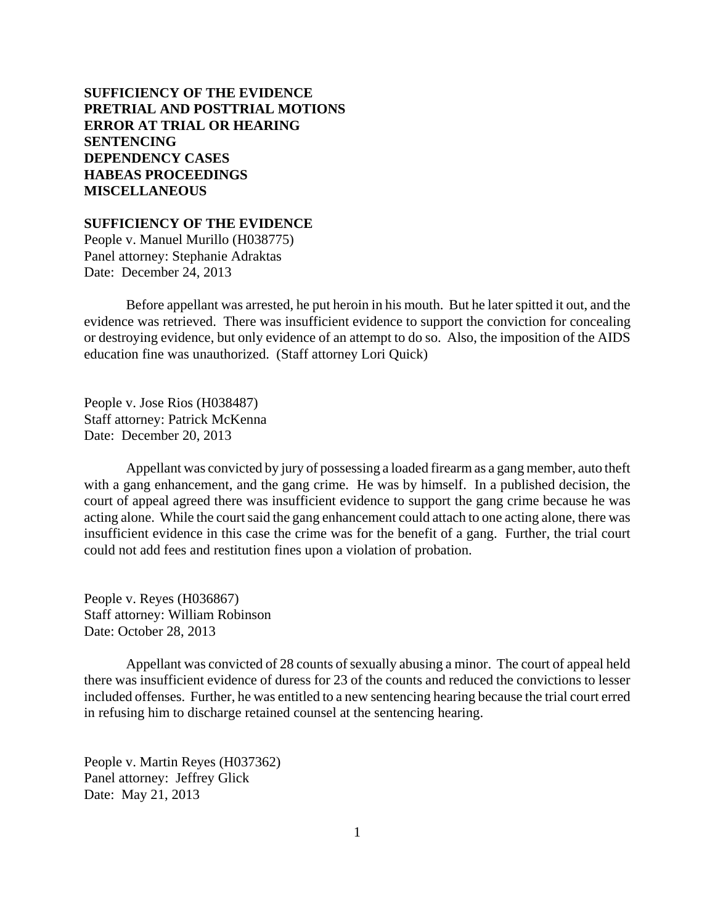# **SUFFICIENCY OF THE EVIDENCE [PRETRIAL AND POSTTRIAL MOTIONS](#page-1-0) [ERROR AT TRIAL OR HEARING](#page-4-0) [SENTENCING](#page-6-0) [DEPENDENCY CASES](#page-27-0) [HABEAS PROCEEDINGS](#page-28-0) [MISCELLANEOUS](#page-28-0)**

### **SUFFICIENCY OF THE EVIDENCE**

People v. Manuel Murillo (H038775) Panel attorney: Stephanie Adraktas Date: December 24, 2013

Before appellant was arrested, he put heroin in his mouth. But he later spitted it out, and the evidence was retrieved. There was insufficient evidence to support the conviction for concealing or destroying evidence, but only evidence of an attempt to do so. Also, the imposition of the AIDS education fine was unauthorized. (Staff attorney Lori Quick)

People v. Jose Rios (H038487) Staff attorney: Patrick McKenna Date: December 20, 2013

Appellant was convicted by jury of possessing a loaded firearm as a gang member, auto theft with a gang enhancement, and the gang crime. He was by himself. In a published decision, the court of appeal agreed there was insufficient evidence to support the gang crime because he was acting alone. While the court said the gang enhancement could attach to one acting alone, there was insufficient evidence in this case the crime was for the benefit of a gang. Further, the trial court could not add fees and restitution fines upon a violation of probation.

People v. Reyes (H036867) Staff attorney: William Robinson Date: October 28, 2013

Appellant was convicted of 28 counts of sexually abusing a minor. The court of appeal held there was insufficient evidence of duress for 23 of the counts and reduced the convictions to lesser included offenses. Further, he was entitled to a new sentencing hearing because the trial court erred in refusing him to discharge retained counsel at the sentencing hearing.

People v. Martin Reyes (H037362) Panel attorney: Jeffrey Glick Date: May 21, 2013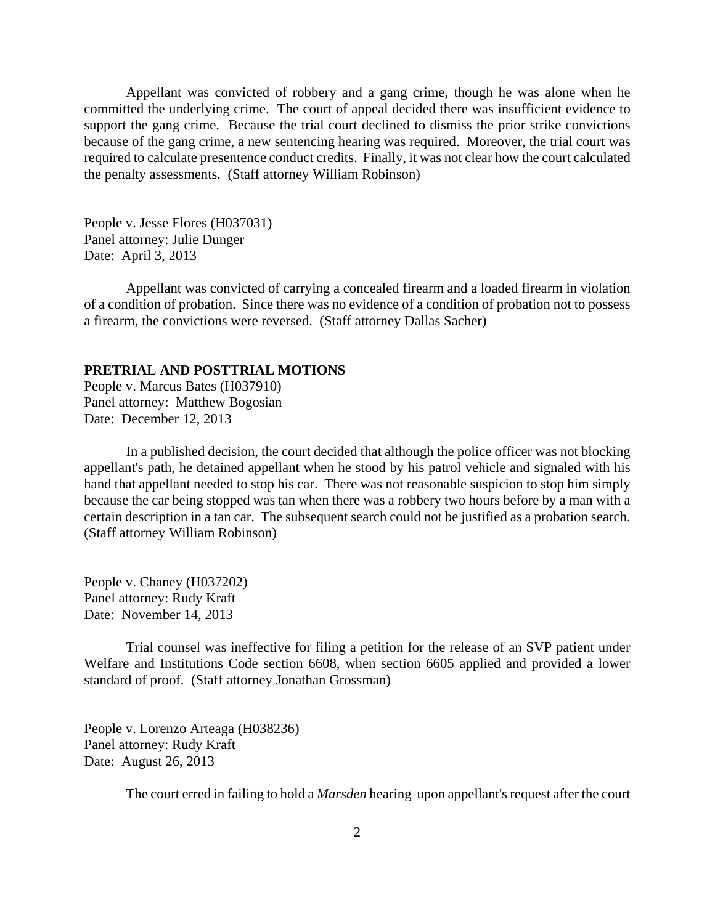<span id="page-1-0"></span>Appellant was convicted of robbery and a gang crime, though he was alone when he committed the underlying crime. The court of appeal decided there was insufficient evidence to support the gang crime. Because the trial court declined to dismiss the prior strike convictions because of the gang crime, a new sentencing hearing was required. Moreover, the trial court was required to calculate presentence conduct credits. Finally, it was not clear how the court calculated the penalty assessments. (Staff attorney William Robinson)

People v. Jesse Flores (H037031) Panel attorney: Julie Dunger Date: April 3, 2013

Appellant was convicted of carrying a concealed firearm and a loaded firearm in violation of a condition of probation. Since there was no evidence of a condition of probation not to possess a firearm, the convictions were reversed. (Staff attorney Dallas Sacher)

## **PRETRIAL AND POSTTRIAL MOTIONS**

People v. Marcus Bates (H037910) Panel attorney: Matthew Bogosian Date: December 12, 2013

In a published decision, the court decided that although the police officer was not blocking appellant's path, he detained appellant when he stood by his patrol vehicle and signaled with his hand that appellant needed to stop his car. There was not reasonable suspicion to stop him simply because the car being stopped was tan when there was a robbery two hours before by a man with a certain description in a tan car. The subsequent search could not be justified as a probation search. (Staff attorney William Robinson)

People v. Chaney (H037202) Panel attorney: Rudy Kraft Date: November 14, 2013

Trial counsel was ineffective for filing a petition for the release of an SVP patient under Welfare and Institutions Code section 6608, when section 6605 applied and provided a lower standard of proof. (Staff attorney Jonathan Grossman)

People v. Lorenzo Arteaga (H038236) Panel attorney: Rudy Kraft Date: August 26, 2013

The court erred in failing to hold a *Marsden* hearing upon appellant's request after the court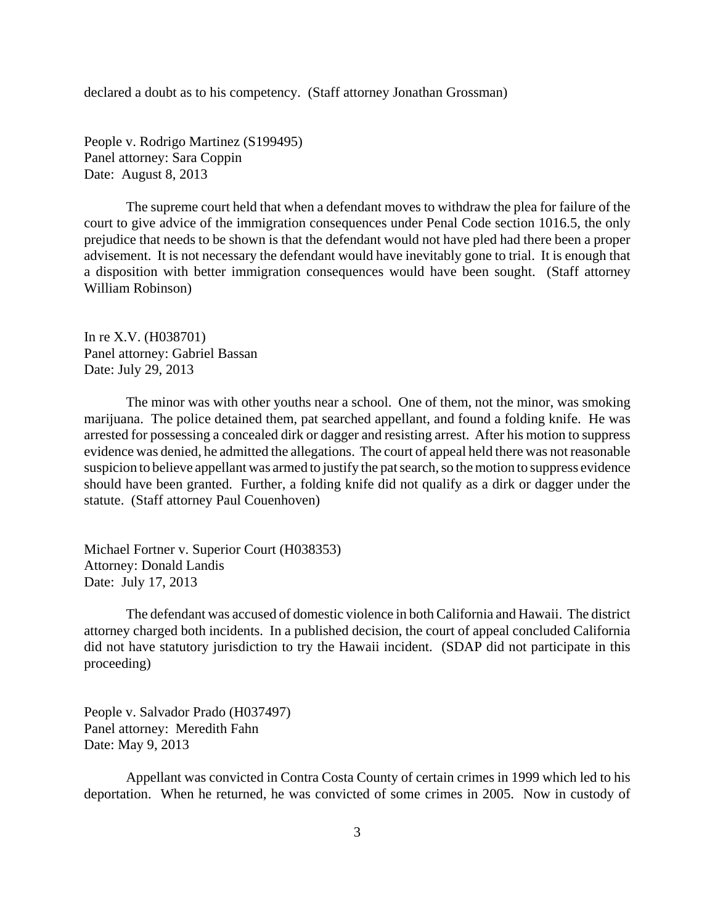declared a doubt as to his competency. (Staff attorney Jonathan Grossman)

People v. Rodrigo Martinez (S199495) Panel attorney: Sara Coppin Date: August 8, 2013

The supreme court held that when a defendant moves to withdraw the plea for failure of the court to give advice of the immigration consequences under Penal Code section 1016.5, the only prejudice that needs to be shown is that the defendant would not have pled had there been a proper advisement. It is not necessary the defendant would have inevitably gone to trial. It is enough that a disposition with better immigration consequences would have been sought. (Staff attorney William Robinson)

In re X.V. (H038701) Panel attorney: Gabriel Bassan Date: July 29, 2013

The minor was with other youths near a school. One of them, not the minor, was smoking marijuana. The police detained them, pat searched appellant, and found a folding knife. He was arrested for possessing a concealed dirk or dagger and resisting arrest. After his motion to suppress evidence was denied, he admitted the allegations. The court of appeal held there was not reasonable suspicion to believe appellant was armed to justify the pat search, so the motion to suppress evidence should have been granted. Further, a folding knife did not qualify as a dirk or dagger under the statute. (Staff attorney Paul Couenhoven)

Michael Fortner v. Superior Court (H038353) Attorney: Donald Landis Date: July 17, 2013

The defendant was accused of domestic violence in both California and Hawaii. The district attorney charged both incidents. In a published decision, the court of appeal concluded California did not have statutory jurisdiction to try the Hawaii incident. (SDAP did not participate in this proceeding)

People v. Salvador Prado (H037497) Panel attorney: Meredith Fahn Date: May 9, 2013

Appellant was convicted in Contra Costa County of certain crimes in 1999 which led to his deportation. When he returned, he was convicted of some crimes in 2005. Now in custody of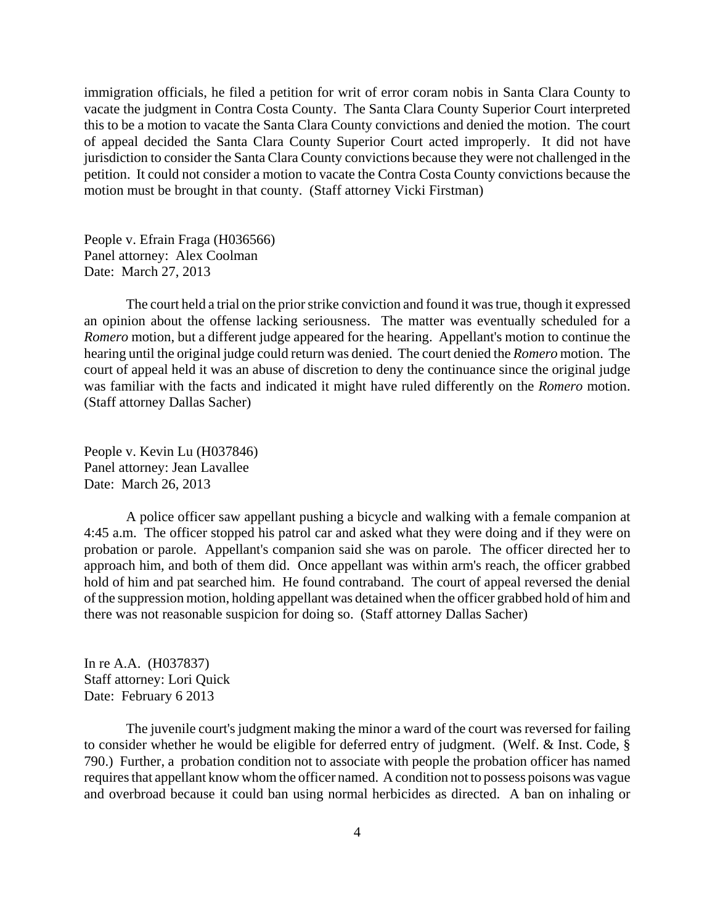immigration officials, he filed a petition for writ of error coram nobis in Santa Clara County to vacate the judgment in Contra Costa County. The Santa Clara County Superior Court interpreted this to be a motion to vacate the Santa Clara County convictions and denied the motion. The court of appeal decided the Santa Clara County Superior Court acted improperly. It did not have jurisdiction to consider the Santa Clara County convictions because they were not challenged in the petition. It could not consider a motion to vacate the Contra Costa County convictions because the motion must be brought in that county. (Staff attorney Vicki Firstman)

People v. Efrain Fraga (H036566) Panel attorney: Alex Coolman Date: March 27, 2013

The court held a trial on the prior strike conviction and found it was true, though it expressed an opinion about the offense lacking seriousness. The matter was eventually scheduled for a *Romero* motion, but a different judge appeared for the hearing. Appellant's motion to continue the hearing until the original judge could return was denied. The court denied the *Romero* motion. The court of appeal held it was an abuse of discretion to deny the continuance since the original judge was familiar with the facts and indicated it might have ruled differently on the *Romero* motion. (Staff attorney Dallas Sacher)

People v. Kevin Lu (H037846) Panel attorney: Jean Lavallee Date: March 26, 2013

A police officer saw appellant pushing a bicycle and walking with a female companion at 4:45 a.m. The officer stopped his patrol car and asked what they were doing and if they were on probation or parole. Appellant's companion said she was on parole. The officer directed her to approach him, and both of them did. Once appellant was within arm's reach, the officer grabbed hold of him and pat searched him. He found contraband. The court of appeal reversed the denial of the suppression motion, holding appellant was detained when the officer grabbed hold of him and there was not reasonable suspicion for doing so. (Staff attorney Dallas Sacher)

In re A.A. (H037837) Staff attorney: Lori Quick Date: February 6 2013

The juvenile court's judgment making the minor a ward of the court was reversed for failing to consider whether he would be eligible for deferred entry of judgment. (Welf. & Inst. Code, § 790.) Further, a probation condition not to associate with people the probation officer has named requires that appellant know whom the officer named. A condition not to possess poisons was vague and overbroad because it could ban using normal herbicides as directed. A ban on inhaling or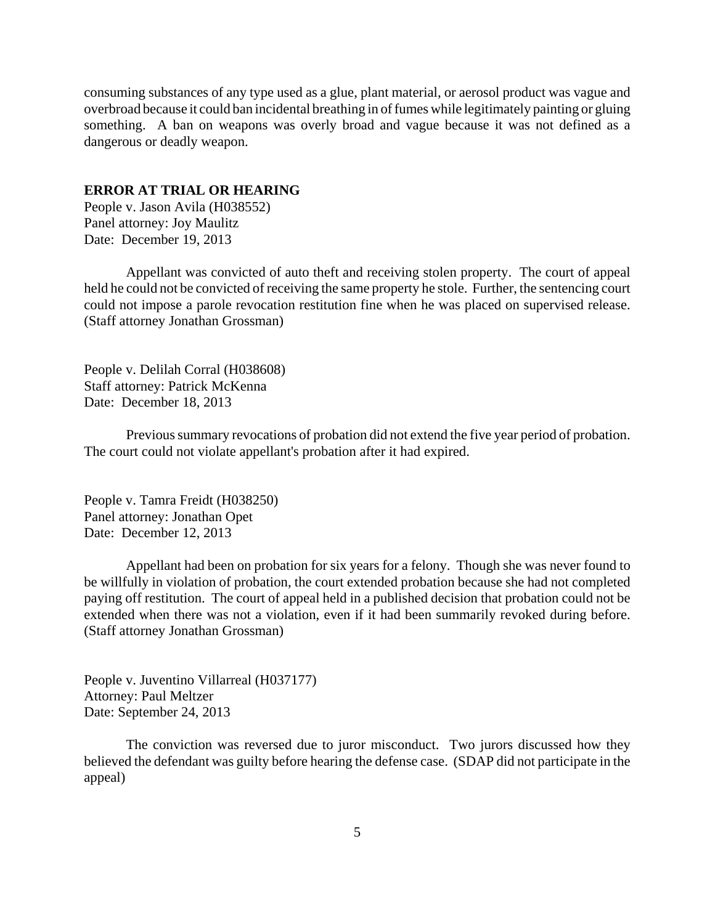<span id="page-4-0"></span>consuming substances of any type used as a glue, plant material, or aerosol product was vague and overbroad because it could ban incidental breathing in of fumes while legitimately painting or gluing something. A ban on weapons was overly broad and vague because it was not defined as a dangerous or deadly weapon.

#### **ERROR AT TRIAL OR HEARING**

People v. Jason Avila (H038552) Panel attorney: Joy Maulitz Date: December 19, 2013

Appellant was convicted of auto theft and receiving stolen property. The court of appeal held he could not be convicted of receiving the same property he stole. Further, the sentencing court could not impose a parole revocation restitution fine when he was placed on supervised release. (Staff attorney Jonathan Grossman)

People v. Delilah Corral (H038608) Staff attorney: Patrick McKenna Date: December 18, 2013

Previous summary revocations of probation did not extend the five year period of probation. The court could not violate appellant's probation after it had expired.

People v. Tamra Freidt (H038250) Panel attorney: Jonathan Opet Date: December 12, 2013

Appellant had been on probation for six years for a felony. Though she was never found to be willfully in violation of probation, the court extended probation because she had not completed paying off restitution. The court of appeal held in a published decision that probation could not be extended when there was not a violation, even if it had been summarily revoked during before. (Staff attorney Jonathan Grossman)

People v. Juventino Villarreal (H037177) Attorney: Paul Meltzer Date: September 24, 2013

The conviction was reversed due to juror misconduct. Two jurors discussed how they believed the defendant was guilty before hearing the defense case. (SDAP did not participate in the appeal)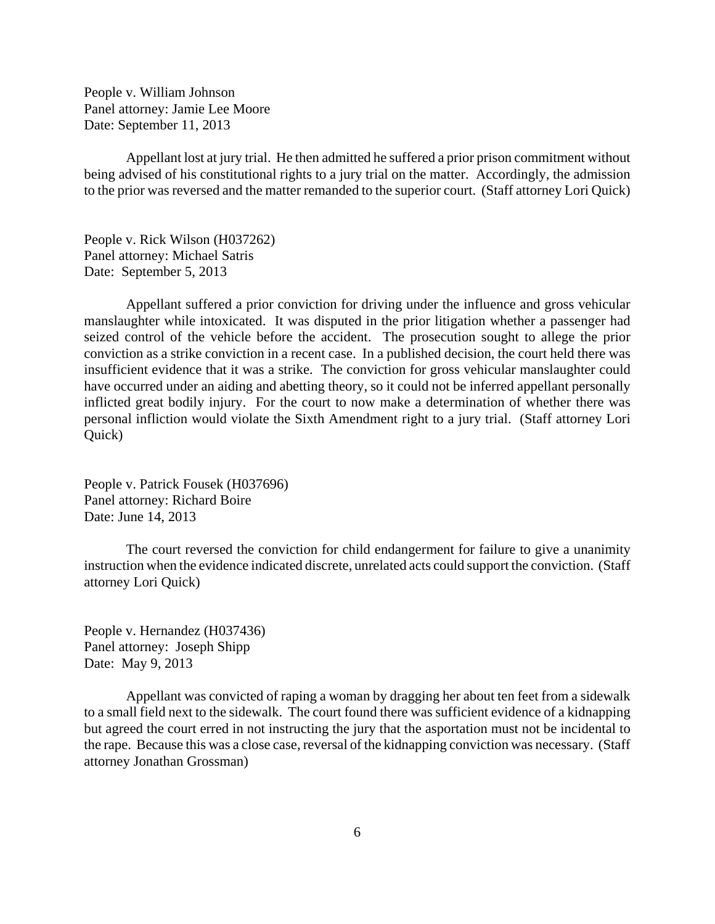People v. William Johnson Panel attorney: Jamie Lee Moore Date: September 11, 2013

Appellant lost at jury trial. He then admitted he suffered a prior prison commitment without being advised of his constitutional rights to a jury trial on the matter. Accordingly, the admission to the prior was reversed and the matter remanded to the superior court. (Staff attorney Lori Quick)

People v. Rick Wilson (H037262) Panel attorney: Michael Satris Date: September 5, 2013

Appellant suffered a prior conviction for driving under the influence and gross vehicular manslaughter while intoxicated. It was disputed in the prior litigation whether a passenger had seized control of the vehicle before the accident. The prosecution sought to allege the prior conviction as a strike conviction in a recent case. In a published decision, the court held there was insufficient evidence that it was a strike. The conviction for gross vehicular manslaughter could have occurred under an aiding and abetting theory, so it could not be inferred appellant personally inflicted great bodily injury. For the court to now make a determination of whether there was personal infliction would violate the Sixth Amendment right to a jury trial. (Staff attorney Lori Quick)

People v. Patrick Fousek (H037696) Panel attorney: Richard Boire Date: June 14, 2013

The court reversed the conviction for child endangerment for failure to give a unanimity instruction when the evidence indicated discrete, unrelated acts could support the conviction. (Staff attorney Lori Quick)

People v. Hernandez (H037436) Panel attorney: Joseph Shipp Date: May 9, 2013

Appellant was convicted of raping a woman by dragging her about ten feet from a sidewalk to a small field next to the sidewalk. The court found there was sufficient evidence of a kidnapping but agreed the court erred in not instructing the jury that the asportation must not be incidental to the rape. Because this was a close case, reversal of the kidnapping conviction was necessary. (Staff attorney Jonathan Grossman)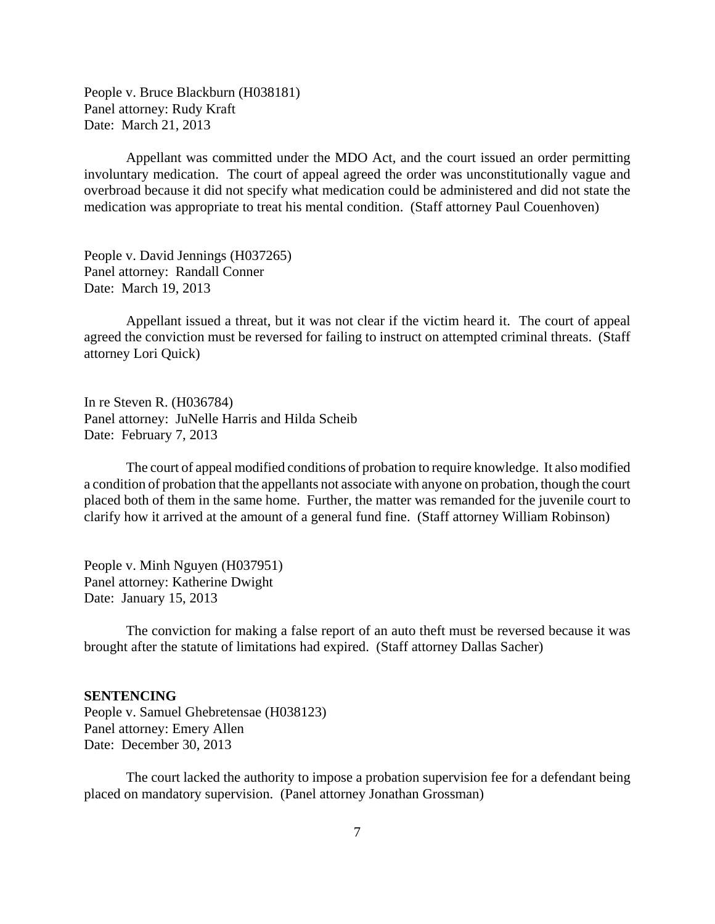<span id="page-6-0"></span>People v. Bruce Blackburn (H038181) Panel attorney: Rudy Kraft Date: March 21, 2013

Appellant was committed under the MDO Act, and the court issued an order permitting involuntary medication. The court of appeal agreed the order was unconstitutionally vague and overbroad because it did not specify what medication could be administered and did not state the medication was appropriate to treat his mental condition. (Staff attorney Paul Couenhoven)

People v. David Jennings (H037265) Panel attorney: Randall Conner Date: March 19, 2013

Appellant issued a threat, but it was not clear if the victim heard it. The court of appeal agreed the conviction must be reversed for failing to instruct on attempted criminal threats. (Staff attorney Lori Quick)

In re Steven R. (H036784) Panel attorney: JuNelle Harris and Hilda Scheib Date: February 7, 2013

The court of appeal modified conditions of probation to require knowledge. It also modified a condition of probation that the appellants not associate with anyone on probation, though the court placed both of them in the same home. Further, the matter was remanded for the juvenile court to clarify how it arrived at the amount of a general fund fine. (Staff attorney William Robinson)

People v. Minh Nguyen (H037951) Panel attorney: Katherine Dwight Date: January 15, 2013

The conviction for making a false report of an auto theft must be reversed because it was brought after the statute of limitations had expired. (Staff attorney Dallas Sacher)

### **SENTENCING**

People v. Samuel Ghebretensae (H038123) Panel attorney: Emery Allen Date: December 30, 2013

The court lacked the authority to impose a probation supervision fee for a defendant being placed on mandatory supervision. (Panel attorney Jonathan Grossman)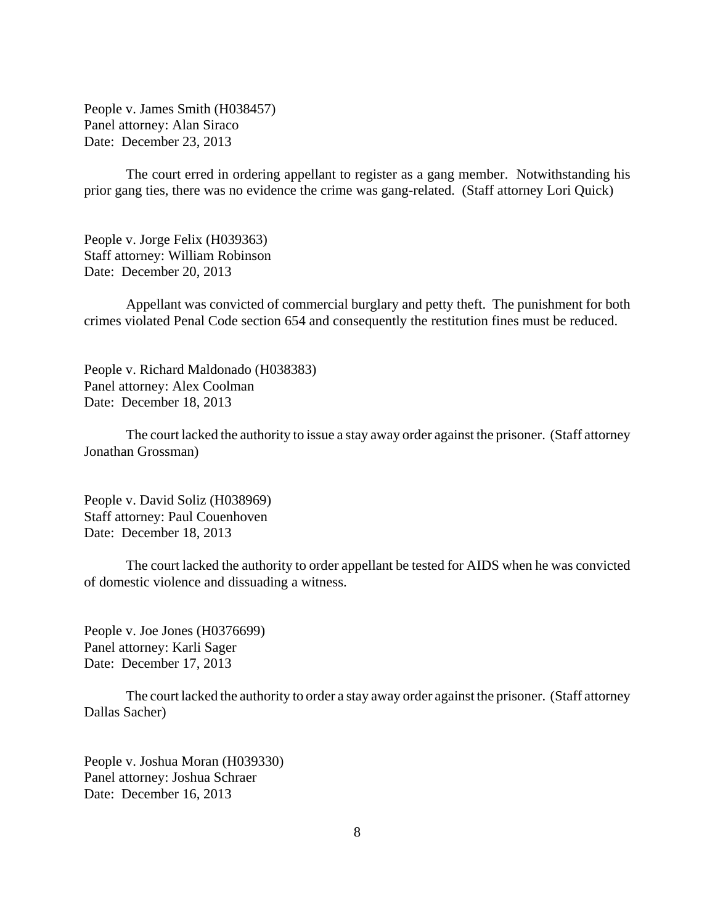People v. James Smith (H038457) Panel attorney: Alan Siraco Date: December 23, 2013

The court erred in ordering appellant to register as a gang member. Notwithstanding his prior gang ties, there was no evidence the crime was gang-related. (Staff attorney Lori Quick)

People v. Jorge Felix (H039363) Staff attorney: William Robinson Date: December 20, 2013

Appellant was convicted of commercial burglary and petty theft. The punishment for both crimes violated Penal Code section 654 and consequently the restitution fines must be reduced.

People v. Richard Maldonado (H038383) Panel attorney: Alex Coolman Date: December 18, 2013

The court lacked the authority to issue a stay away order against the prisoner. (Staff attorney Jonathan Grossman)

People v. David Soliz (H038969) Staff attorney: Paul Couenhoven Date: December 18, 2013

The court lacked the authority to order appellant be tested for AIDS when he was convicted of domestic violence and dissuading a witness.

People v. Joe Jones (H0376699) Panel attorney: Karli Sager Date: December 17, 2013

The court lacked the authority to order a stay away order against the prisoner. (Staff attorney Dallas Sacher)

People v. Joshua Moran (H039330) Panel attorney: Joshua Schraer Date: December 16, 2013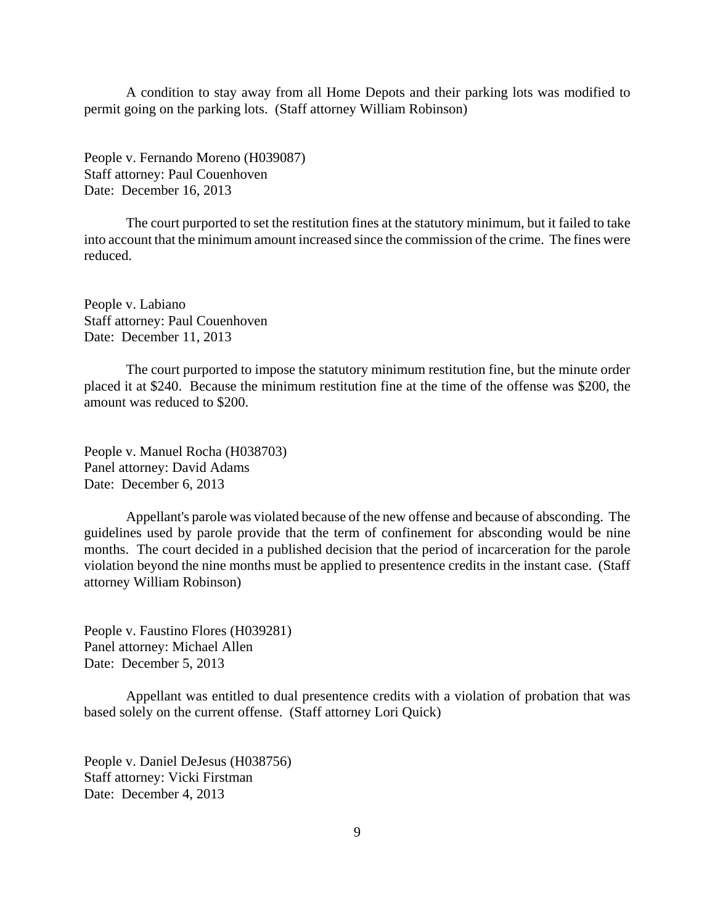A condition to stay away from all Home Depots and their parking lots was modified to permit going on the parking lots. (Staff attorney William Robinson)

People v. Fernando Moreno (H039087) Staff attorney: Paul Couenhoven Date: December 16, 2013

The court purported to set the restitution fines at the statutory minimum, but it failed to take into account that the minimum amount increased since the commission of the crime. The fines were reduced.

People v. Labiano Staff attorney: Paul Couenhoven Date: December 11, 2013

The court purported to impose the statutory minimum restitution fine, but the minute order placed it at \$240. Because the minimum restitution fine at the time of the offense was \$200, the amount was reduced to \$200.

People v. Manuel Rocha (H038703) Panel attorney: David Adams Date: December 6, 2013

Appellant's parole was violated because of the new offense and because of absconding. The guidelines used by parole provide that the term of confinement for absconding would be nine months. The court decided in a published decision that the period of incarceration for the parole violation beyond the nine months must be applied to presentence credits in the instant case. (Staff attorney William Robinson)

People v. Faustino Flores (H039281) Panel attorney: Michael Allen Date: December 5, 2013

Appellant was entitled to dual presentence credits with a violation of probation that was based solely on the current offense. (Staff attorney Lori Quick)

People v. Daniel DeJesus (H038756) Staff attorney: Vicki Firstman Date: December 4, 2013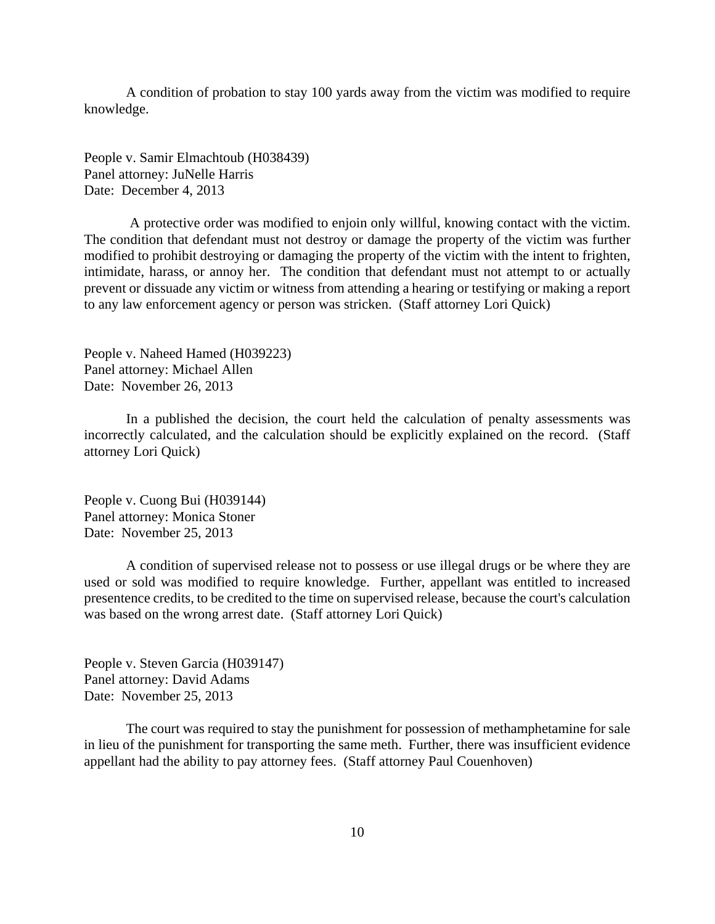A condition of probation to stay 100 yards away from the victim was modified to require knowledge.

People v. Samir Elmachtoub (H038439) Panel attorney: JuNelle Harris Date: December 4, 2013

 A protective order was modified to enjoin only willful, knowing contact with the victim. The condition that defendant must not destroy or damage the property of the victim was further modified to prohibit destroying or damaging the property of the victim with the intent to frighten, intimidate, harass, or annoy her. The condition that defendant must not attempt to or actually prevent or dissuade any victim or witness from attending a hearing or testifying or making a report to any law enforcement agency or person was stricken. (Staff attorney Lori Quick)

People v. Naheed Hamed (H039223) Panel attorney: Michael Allen Date: November 26, 2013

In a published the decision, the court held the calculation of penalty assessments was incorrectly calculated, and the calculation should be explicitly explained on the record. (Staff attorney Lori Quick)

People v. Cuong Bui (H039144) Panel attorney: Monica Stoner Date: November 25, 2013

A condition of supervised release not to possess or use illegal drugs or be where they are used or sold was modified to require knowledge. Further, appellant was entitled to increased presentence credits, to be credited to the time on supervised release, because the court's calculation was based on the wrong arrest date. (Staff attorney Lori Quick)

People v. Steven Garcia (H039147) Panel attorney: David Adams Date: November 25, 2013

The court was required to stay the punishment for possession of methamphetamine for sale in lieu of the punishment for transporting the same meth. Further, there was insufficient evidence appellant had the ability to pay attorney fees. (Staff attorney Paul Couenhoven)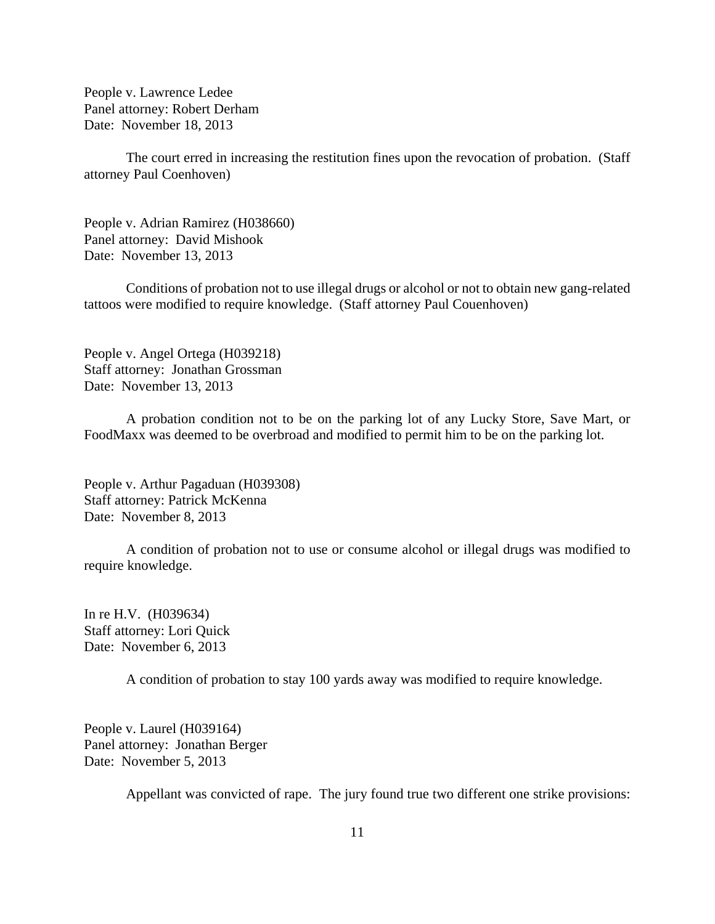People v. Lawrence Ledee Panel attorney: Robert Derham Date: November 18, 2013

The court erred in increasing the restitution fines upon the revocation of probation. (Staff attorney Paul Coenhoven)

People v. Adrian Ramirez (H038660) Panel attorney: David Mishook Date: November 13, 2013

Conditions of probation not to use illegal drugs or alcohol or not to obtain new gang-related tattoos were modified to require knowledge. (Staff attorney Paul Couenhoven)

People v. Angel Ortega (H039218) Staff attorney: Jonathan Grossman Date: November 13, 2013

A probation condition not to be on the parking lot of any Lucky Store, Save Mart, or FoodMaxx was deemed to be overbroad and modified to permit him to be on the parking lot.

People v. Arthur Pagaduan (H039308) Staff attorney: Patrick McKenna Date: November 8, 2013

A condition of probation not to use or consume alcohol or illegal drugs was modified to require knowledge.

In re H.V. (H039634) Staff attorney: Lori Quick Date: November 6, 2013

A condition of probation to stay 100 yards away was modified to require knowledge.

People v. Laurel (H039164) Panel attorney: Jonathan Berger Date: November 5, 2013

Appellant was convicted of rape. The jury found true two different one strike provisions: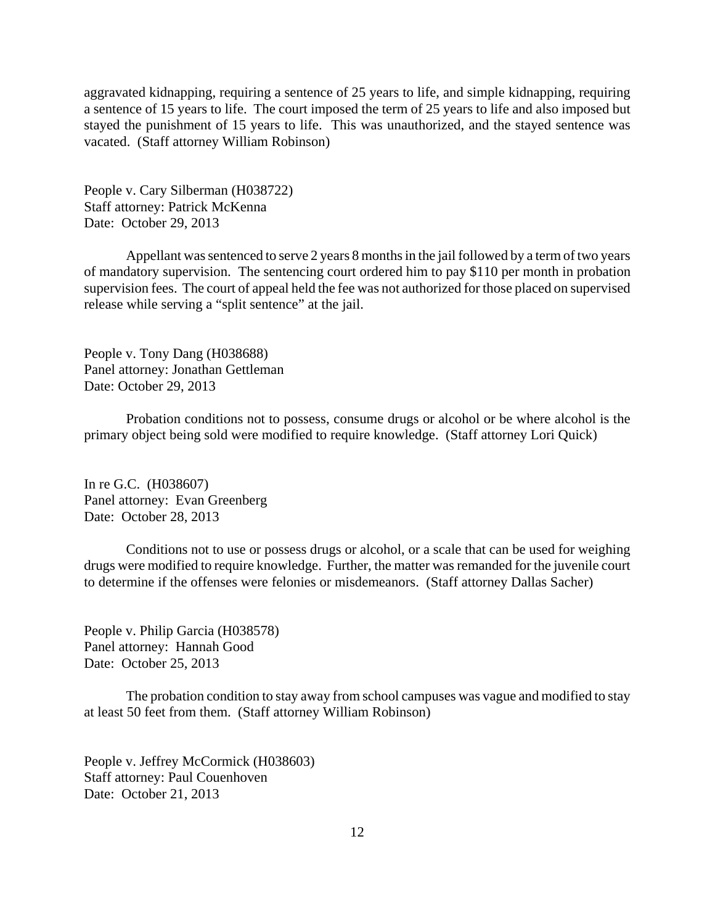aggravated kidnapping, requiring a sentence of 25 years to life, and simple kidnapping, requiring a sentence of 15 years to life. The court imposed the term of 25 years to life and also imposed but stayed the punishment of 15 years to life. This was unauthorized, and the stayed sentence was vacated. (Staff attorney William Robinson)

People v. Cary Silberman (H038722) Staff attorney: Patrick McKenna Date: October 29, 2013

Appellant was sentenced to serve 2 years 8 months in the jail followed by a term of two years of mandatory supervision. The sentencing court ordered him to pay \$110 per month in probation supervision fees. The court of appeal held the fee was not authorized for those placed on supervised release while serving a "split sentence" at the jail.

People v. Tony Dang (H038688) Panel attorney: Jonathan Gettleman Date: October 29, 2013

Probation conditions not to possess, consume drugs or alcohol or be where alcohol is the primary object being sold were modified to require knowledge. (Staff attorney Lori Quick)

In re G.C. (H038607) Panel attorney: Evan Greenberg Date: October 28, 2013

Conditions not to use or possess drugs or alcohol, or a scale that can be used for weighing drugs were modified to require knowledge. Further, the matter was remanded for the juvenile court to determine if the offenses were felonies or misdemeanors. (Staff attorney Dallas Sacher)

People v. Philip Garcia (H038578) Panel attorney: Hannah Good Date: October 25, 2013

The probation condition to stay away from school campuses was vague and modified to stay at least 50 feet from them. (Staff attorney William Robinson)

People v. Jeffrey McCormick (H038603) Staff attorney: Paul Couenhoven Date: October 21, 2013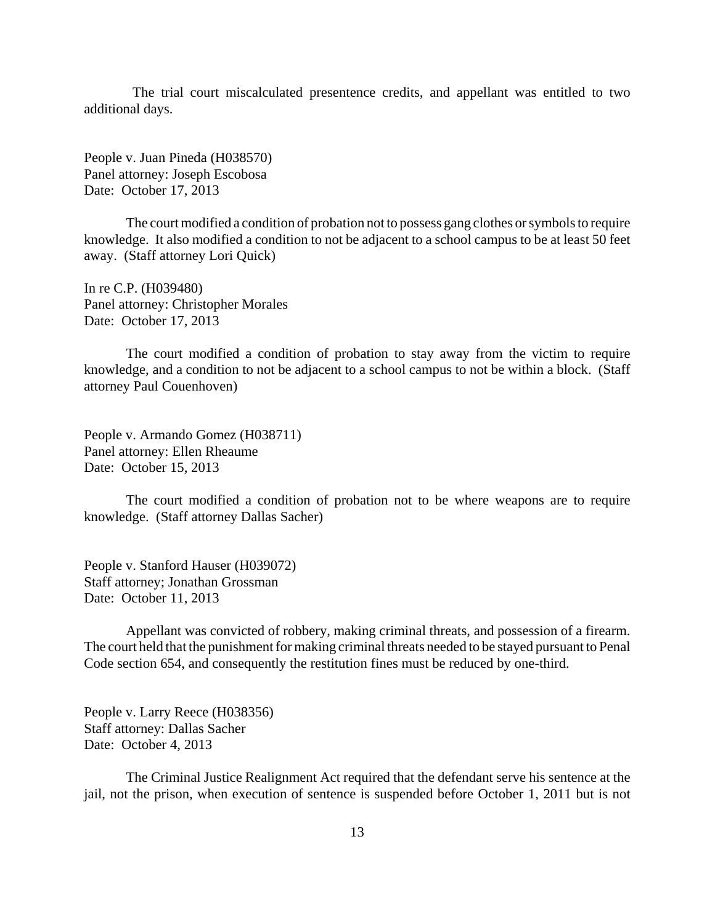The trial court miscalculated presentence credits, and appellant was entitled to two additional days.

People v. Juan Pineda (H038570) Panel attorney: Joseph Escobosa Date: October 17, 2013

The court modified a condition of probation not to possess gang clothes or symbols to require knowledge. It also modified a condition to not be adjacent to a school campus to be at least 50 feet away. (Staff attorney Lori Quick)

In re C.P. (H039480) Panel attorney: Christopher Morales Date: October 17, 2013

The court modified a condition of probation to stay away from the victim to require knowledge, and a condition to not be adjacent to a school campus to not be within a block. (Staff attorney Paul Couenhoven)

People v. Armando Gomez (H038711) Panel attorney: Ellen Rheaume Date: October 15, 2013

The court modified a condition of probation not to be where weapons are to require knowledge. (Staff attorney Dallas Sacher)

People v. Stanford Hauser (H039072) Staff attorney; Jonathan Grossman Date: October 11, 2013

Appellant was convicted of robbery, making criminal threats, and possession of a firearm. The court held that the punishment for making criminal threats needed to be stayed pursuant to Penal Code section 654, and consequently the restitution fines must be reduced by one-third.

People v. Larry Reece (H038356) Staff attorney: Dallas Sacher Date: October 4, 2013

The Criminal Justice Realignment Act required that the defendant serve his sentence at the jail, not the prison, when execution of sentence is suspended before October 1, 2011 but is not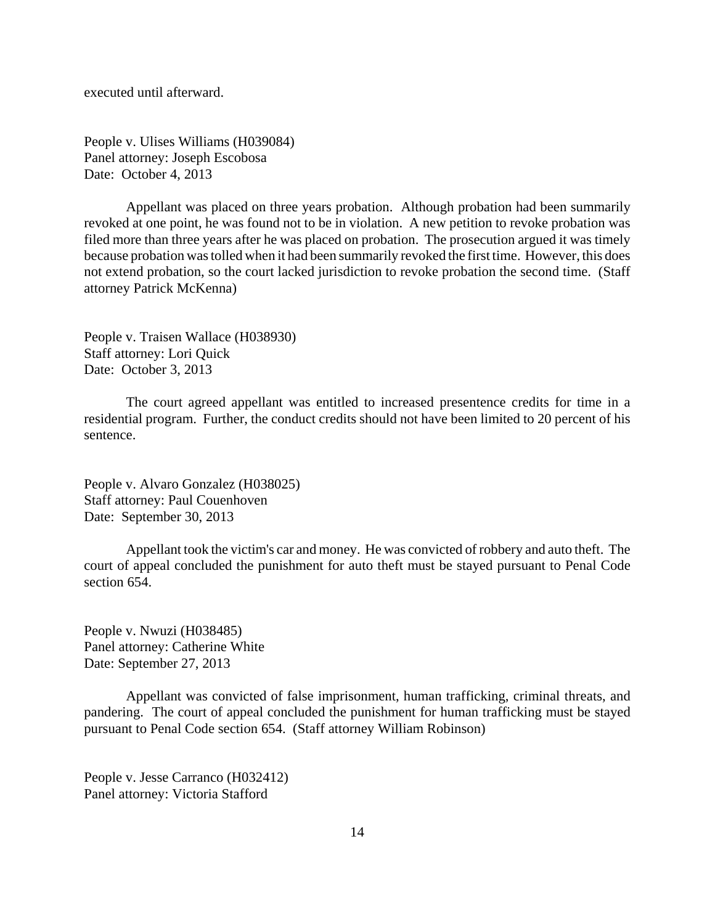executed until afterward.

People v. Ulises Williams (H039084) Panel attorney: Joseph Escobosa Date: October 4, 2013

Appellant was placed on three years probation. Although probation had been summarily revoked at one point, he was found not to be in violation. A new petition to revoke probation was filed more than three years after he was placed on probation. The prosecution argued it was timely because probation was tolled when it had been summarily revoked the first time. However, this does not extend probation, so the court lacked jurisdiction to revoke probation the second time. (Staff attorney Patrick McKenna)

People v. Traisen Wallace (H038930) Staff attorney: Lori Quick Date: October 3, 2013

The court agreed appellant was entitled to increased presentence credits for time in a residential program. Further, the conduct credits should not have been limited to 20 percent of his sentence.

People v. Alvaro Gonzalez (H038025) Staff attorney: Paul Couenhoven Date: September 30, 2013

Appellant took the victim's car and money. He was convicted of robbery and auto theft. The court of appeal concluded the punishment for auto theft must be stayed pursuant to Penal Code section 654.

People v. Nwuzi (H038485) Panel attorney: Catherine White Date: September 27, 2013

Appellant was convicted of false imprisonment, human trafficking, criminal threats, and pandering. The court of appeal concluded the punishment for human trafficking must be stayed pursuant to Penal Code section 654. (Staff attorney William Robinson)

People v. Jesse Carranco (H032412) Panel attorney: Victoria Stafford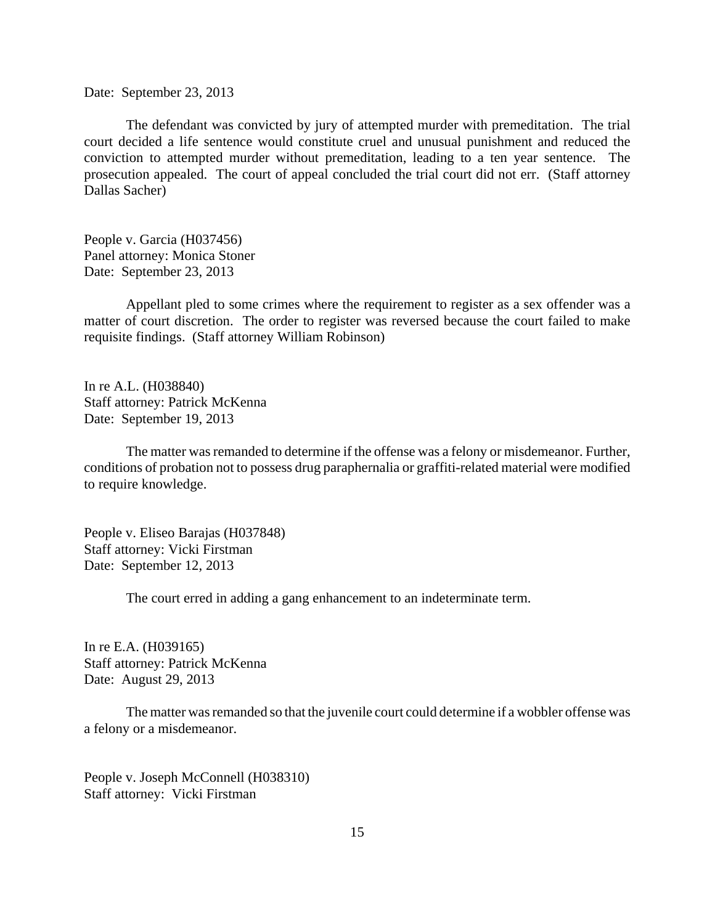Date: September 23, 2013

The defendant was convicted by jury of attempted murder with premeditation. The trial court decided a life sentence would constitute cruel and unusual punishment and reduced the conviction to attempted murder without premeditation, leading to a ten year sentence. The prosecution appealed. The court of appeal concluded the trial court did not err. (Staff attorney Dallas Sacher)

People v. Garcia (H037456) Panel attorney: Monica Stoner Date: September 23, 2013

Appellant pled to some crimes where the requirement to register as a sex offender was a matter of court discretion. The order to register was reversed because the court failed to make requisite findings. (Staff attorney William Robinson)

In re A.L. (H038840) Staff attorney: Patrick McKenna Date: September 19, 2013

The matter was remanded to determine if the offense was a felony or misdemeanor. Further, conditions of probation not to possess drug paraphernalia or graffiti-related material were modified to require knowledge.

People v. Eliseo Barajas (H037848) Staff attorney: Vicki Firstman Date: September 12, 2013

The court erred in adding a gang enhancement to an indeterminate term.

In re E.A. (H039165) Staff attorney: Patrick McKenna Date: August 29, 2013

The matter was remanded so that the juvenile court could determine if a wobbler offense was a felony or a misdemeanor.

People v. Joseph McConnell (H038310) Staff attorney: Vicki Firstman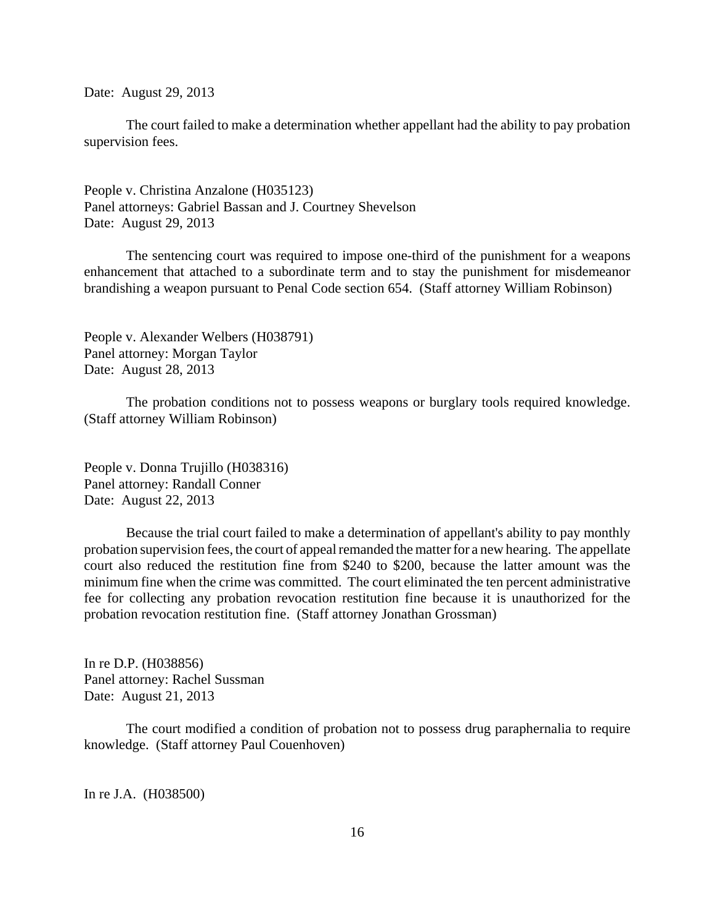Date: August 29, 2013

The court failed to make a determination whether appellant had the ability to pay probation supervision fees.

People v. Christina Anzalone (H035123) Panel attorneys: Gabriel Bassan and J. Courtney Shevelson Date: August 29, 2013

The sentencing court was required to impose one-third of the punishment for a weapons enhancement that attached to a subordinate term and to stay the punishment for misdemeanor brandishing a weapon pursuant to Penal Code section 654. (Staff attorney William Robinson)

People v. Alexander Welbers (H038791) Panel attorney: Morgan Taylor Date: August 28, 2013

The probation conditions not to possess weapons or burglary tools required knowledge. (Staff attorney William Robinson)

People v. Donna Trujillo (H038316) Panel attorney: Randall Conner Date: August 22, 2013

Because the trial court failed to make a determination of appellant's ability to pay monthly probation supervision fees, the court of appeal remanded the matter for a new hearing. The appellate court also reduced the restitution fine from \$240 to \$200, because the latter amount was the minimum fine when the crime was committed. The court eliminated the ten percent administrative fee for collecting any probation revocation restitution fine because it is unauthorized for the probation revocation restitution fine. (Staff attorney Jonathan Grossman)

In re D.P. (H038856) Panel attorney: Rachel Sussman Date: August 21, 2013

The court modified a condition of probation not to possess drug paraphernalia to require knowledge. (Staff attorney Paul Couenhoven)

In re J.A. (H038500)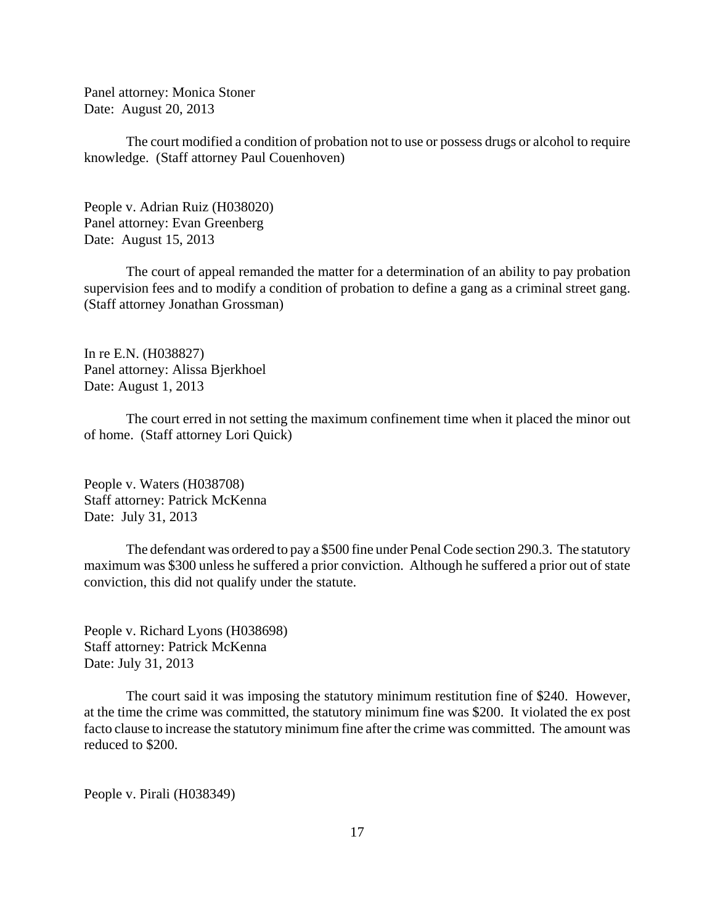Panel attorney: Monica Stoner Date: August 20, 2013

The court modified a condition of probation not to use or possess drugs or alcohol to require knowledge. (Staff attorney Paul Couenhoven)

People v. Adrian Ruiz (H038020) Panel attorney: Evan Greenberg Date: August 15, 2013

The court of appeal remanded the matter for a determination of an ability to pay probation supervision fees and to modify a condition of probation to define a gang as a criminal street gang. (Staff attorney Jonathan Grossman)

In re E.N. (H038827) Panel attorney: Alissa Bjerkhoel Date: August 1, 2013

The court erred in not setting the maximum confinement time when it placed the minor out of home. (Staff attorney Lori Quick)

People v. Waters (H038708) Staff attorney: Patrick McKenna Date: July 31, 2013

The defendant was ordered to pay a \$500 fine under Penal Code section 290.3. The statutory maximum was \$300 unless he suffered a prior conviction. Although he suffered a prior out of state conviction, this did not qualify under the statute.

People v. Richard Lyons (H038698) Staff attorney: Patrick McKenna Date: July 31, 2013

The court said it was imposing the statutory minimum restitution fine of \$240. However, at the time the crime was committed, the statutory minimum fine was \$200. It violated the ex post facto clause to increase the statutory minimum fine after the crime was committed. The amount was reduced to \$200.

People v. Pirali (H038349)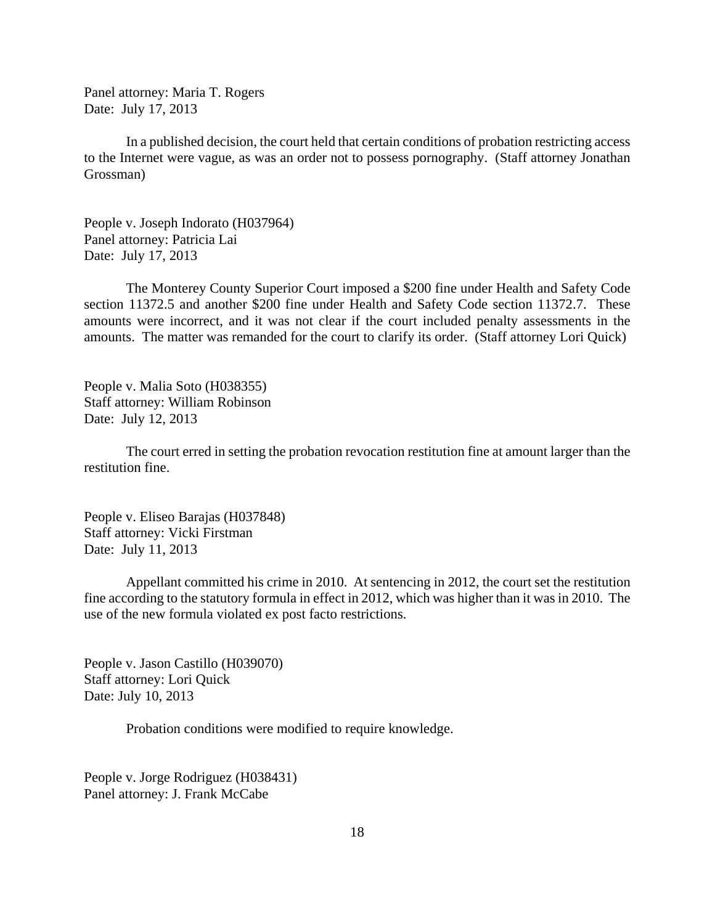Panel attorney: Maria T. Rogers Date: July 17, 2013

In a published decision, the court held that certain conditions of probation restricting access to the Internet were vague, as was an order not to possess pornography. (Staff attorney Jonathan Grossman)

People v. Joseph Indorato (H037964) Panel attorney: Patricia Lai Date: July 17, 2013

The Monterey County Superior Court imposed a \$200 fine under Health and Safety Code section 11372.5 and another \$200 fine under Health and Safety Code section 11372.7. These amounts were incorrect, and it was not clear if the court included penalty assessments in the amounts. The matter was remanded for the court to clarify its order. (Staff attorney Lori Quick)

People v. Malia Soto (H038355) Staff attorney: William Robinson Date: July 12, 2013

The court erred in setting the probation revocation restitution fine at amount larger than the restitution fine.

People v. Eliseo Barajas (H037848) Staff attorney: Vicki Firstman Date: July 11, 2013

Appellant committed his crime in 2010. At sentencing in 2012, the court set the restitution fine according to the statutory formula in effect in 2012, which was higher than it was in 2010. The use of the new formula violated ex post facto restrictions.

People v. Jason Castillo (H039070) Staff attorney: Lori Quick Date: July 10, 2013

Probation conditions were modified to require knowledge.

People v. Jorge Rodriguez (H038431) Panel attorney: J. Frank McCabe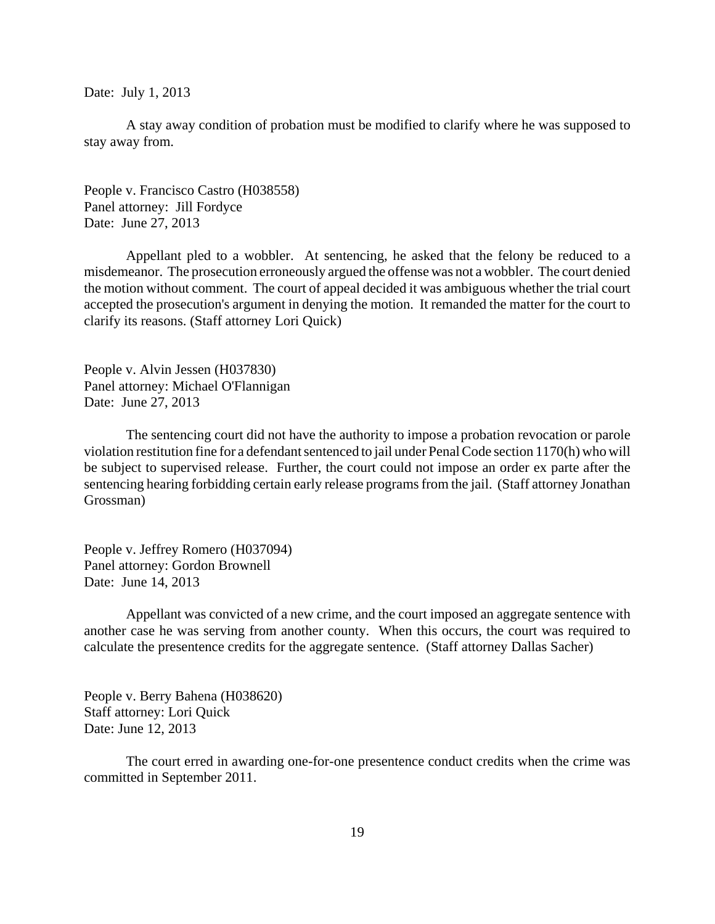Date: July 1, 2013

A stay away condition of probation must be modified to clarify where he was supposed to stay away from.

People v. Francisco Castro (H038558) Panel attorney: Jill Fordyce Date: June 27, 2013

Appellant pled to a wobbler. At sentencing, he asked that the felony be reduced to a misdemeanor. The prosecution erroneously argued the offense was not a wobbler. The court denied the motion without comment. The court of appeal decided it was ambiguous whether the trial court accepted the prosecution's argument in denying the motion. It remanded the matter for the court to clarify its reasons. (Staff attorney Lori Quick)

People v. Alvin Jessen (H037830) Panel attorney: Michael O'Flannigan Date: June 27, 2013

The sentencing court did not have the authority to impose a probation revocation or parole violation restitution fine for a defendant sentenced to jail under Penal Code section 1170(h) who will be subject to supervised release. Further, the court could not impose an order ex parte after the sentencing hearing forbidding certain early release programs from the jail. (Staff attorney Jonathan Grossman)

People v. Jeffrey Romero (H037094) Panel attorney: Gordon Brownell Date: June 14, 2013

Appellant was convicted of a new crime, and the court imposed an aggregate sentence with another case he was serving from another county. When this occurs, the court was required to calculate the presentence credits for the aggregate sentence. (Staff attorney Dallas Sacher)

People v. Berry Bahena (H038620) Staff attorney: Lori Quick Date: June 12, 2013

The court erred in awarding one-for-one presentence conduct credits when the crime was committed in September 2011.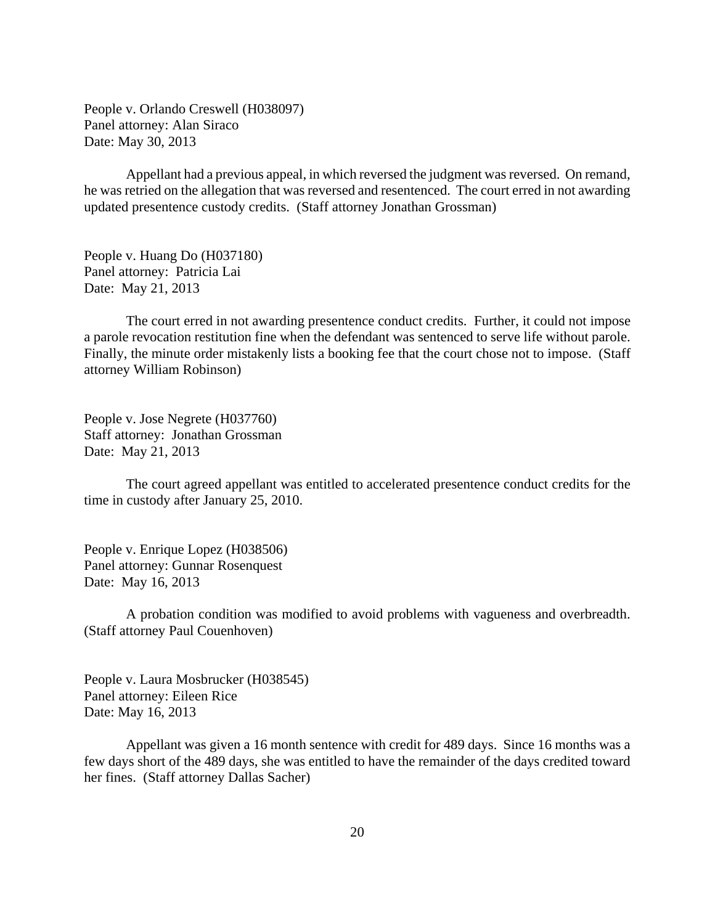People v. Orlando Creswell (H038097) Panel attorney: Alan Siraco Date: May 30, 2013

Appellant had a previous appeal, in which reversed the judgment was reversed. On remand, he was retried on the allegation that was reversed and resentenced. The court erred in not awarding updated presentence custody credits. (Staff attorney Jonathan Grossman)

People v. Huang Do (H037180) Panel attorney: Patricia Lai Date: May 21, 2013

The court erred in not awarding presentence conduct credits. Further, it could not impose a parole revocation restitution fine when the defendant was sentenced to serve life without parole. Finally, the minute order mistakenly lists a booking fee that the court chose not to impose. (Staff attorney William Robinson)

People v. Jose Negrete (H037760) Staff attorney: Jonathan Grossman Date: May 21, 2013

The court agreed appellant was entitled to accelerated presentence conduct credits for the time in custody after January 25, 2010.

People v. Enrique Lopez (H038506) Panel attorney: Gunnar Rosenquest Date: May 16, 2013

A probation condition was modified to avoid problems with vagueness and overbreadth. (Staff attorney Paul Couenhoven)

People v. Laura Mosbrucker (H038545) Panel attorney: Eileen Rice Date: May 16, 2013

Appellant was given a 16 month sentence with credit for 489 days. Since 16 months was a few days short of the 489 days, she was entitled to have the remainder of the days credited toward her fines. (Staff attorney Dallas Sacher)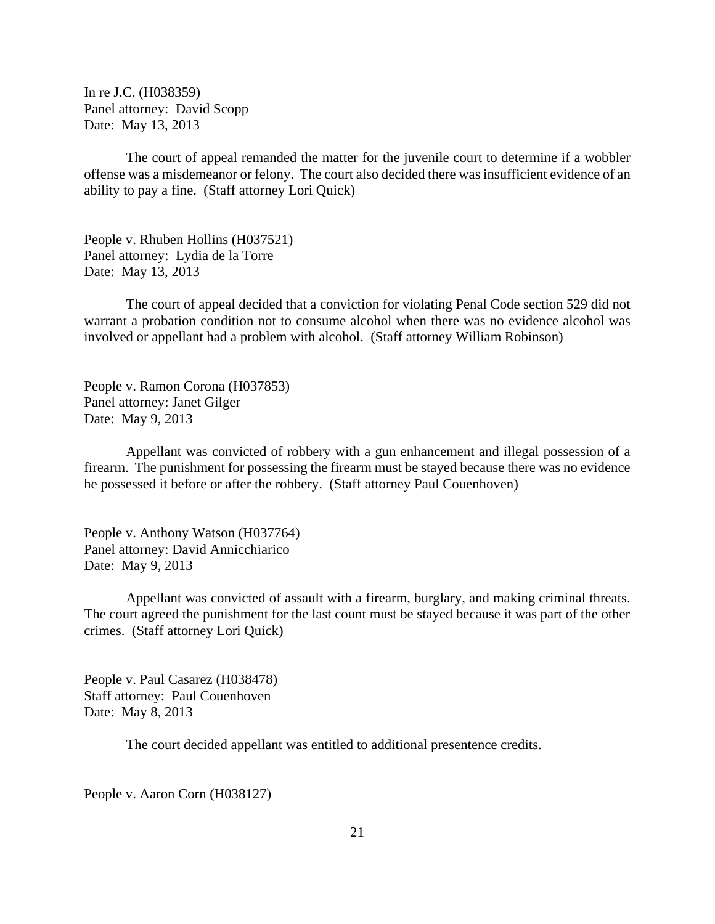In re J.C. (H038359) Panel attorney: David Scopp Date: May 13, 2013

The court of appeal remanded the matter for the juvenile court to determine if a wobbler offense was a misdemeanor or felony. The court also decided there was insufficient evidence of an ability to pay a fine. (Staff attorney Lori Quick)

People v. Rhuben Hollins (H037521) Panel attorney: Lydia de la Torre Date: May 13, 2013

The court of appeal decided that a conviction for violating Penal Code section 529 did not warrant a probation condition not to consume alcohol when there was no evidence alcohol was involved or appellant had a problem with alcohol. (Staff attorney William Robinson)

People v. Ramon Corona (H037853) Panel attorney: Janet Gilger Date: May 9, 2013

Appellant was convicted of robbery with a gun enhancement and illegal possession of a firearm. The punishment for possessing the firearm must be stayed because there was no evidence he possessed it before or after the robbery. (Staff attorney Paul Couenhoven)

People v. Anthony Watson (H037764) Panel attorney: David Annicchiarico Date: May 9, 2013

Appellant was convicted of assault with a firearm, burglary, and making criminal threats. The court agreed the punishment for the last count must be stayed because it was part of the other crimes. (Staff attorney Lori Quick)

People v. Paul Casarez (H038478) Staff attorney: Paul Couenhoven Date: May 8, 2013

The court decided appellant was entitled to additional presentence credits.

People v. Aaron Corn (H038127)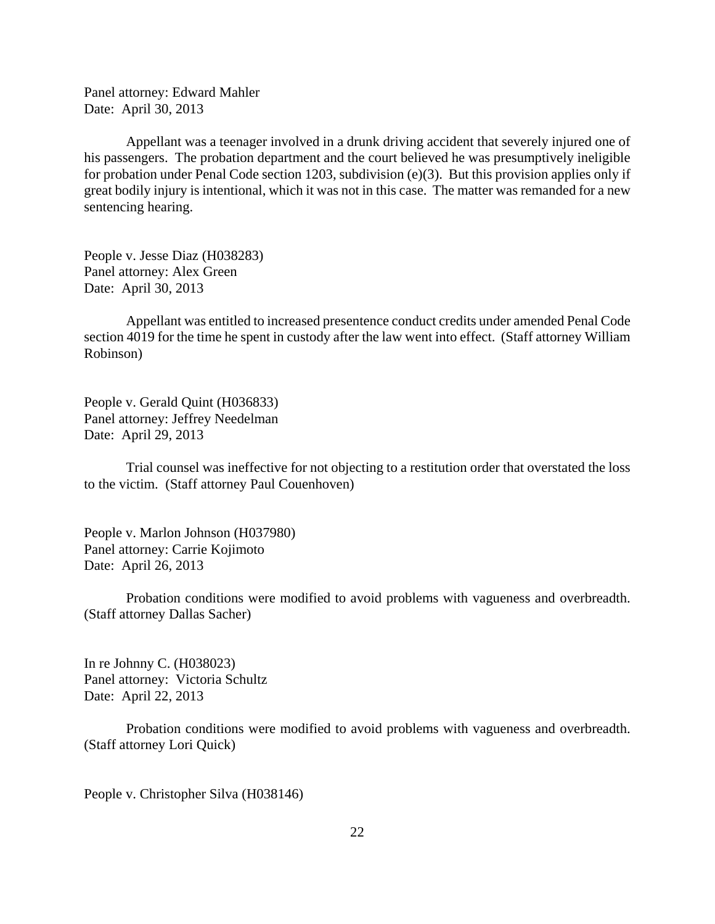Panel attorney: Edward Mahler Date: April 30, 2013

Appellant was a teenager involved in a drunk driving accident that severely injured one of his passengers. The probation department and the court believed he was presumptively ineligible for probation under Penal Code section 1203, subdivision (e)(3). But this provision applies only if great bodily injury is intentional, which it was not in this case. The matter was remanded for a new sentencing hearing.

People v. Jesse Diaz (H038283) Panel attorney: Alex Green Date: April 30, 2013

Appellant was entitled to increased presentence conduct credits under amended Penal Code section 4019 for the time he spent in custody after the law went into effect. (Staff attorney William Robinson)

People v. Gerald Quint (H036833) Panel attorney: Jeffrey Needelman Date: April 29, 2013

Trial counsel was ineffective for not objecting to a restitution order that overstated the loss to the victim. (Staff attorney Paul Couenhoven)

People v. Marlon Johnson (H037980) Panel attorney: Carrie Kojimoto Date: April 26, 2013

Probation conditions were modified to avoid problems with vagueness and overbreadth. (Staff attorney Dallas Sacher)

In re Johnny C. (H038023) Panel attorney: Victoria Schultz Date: April 22, 2013

Probation conditions were modified to avoid problems with vagueness and overbreadth. (Staff attorney Lori Quick)

People v. Christopher Silva (H038146)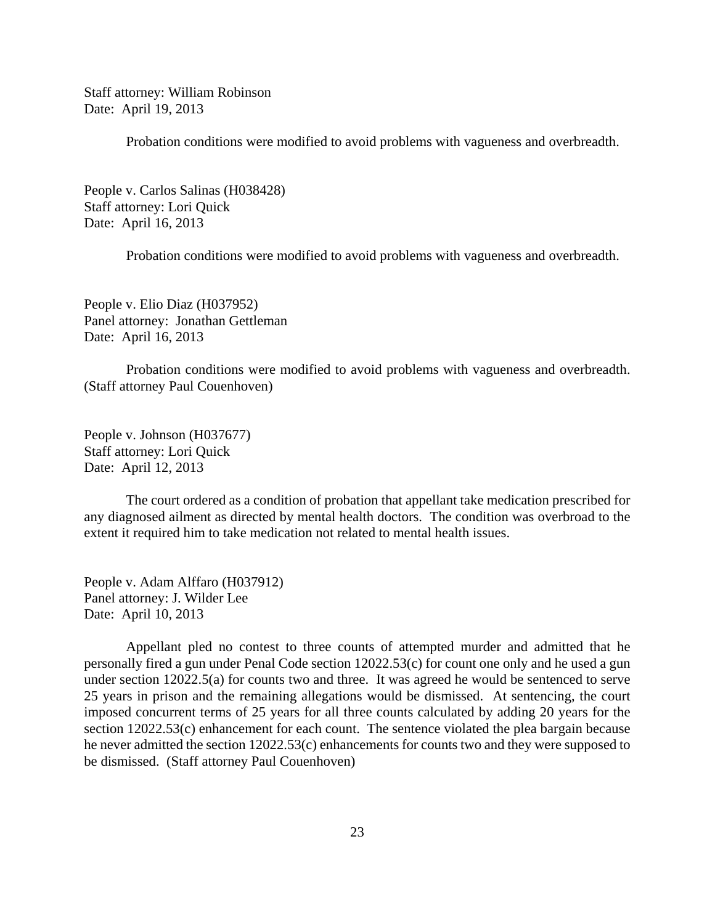Staff attorney: William Robinson Date: April 19, 2013

Probation conditions were modified to avoid problems with vagueness and overbreadth.

People v. Carlos Salinas (H038428) Staff attorney: Lori Quick Date: April 16, 2013

Probation conditions were modified to avoid problems with vagueness and overbreadth.

People v. Elio Diaz (H037952) Panel attorney: Jonathan Gettleman Date: April 16, 2013

Probation conditions were modified to avoid problems with vagueness and overbreadth. (Staff attorney Paul Couenhoven)

People v. Johnson (H037677) Staff attorney: Lori Quick Date: April 12, 2013

The court ordered as a condition of probation that appellant take medication prescribed for any diagnosed ailment as directed by mental health doctors. The condition was overbroad to the extent it required him to take medication not related to mental health issues.

People v. Adam Alffaro (H037912) Panel attorney: J. Wilder Lee Date: April 10, 2013

Appellant pled no contest to three counts of attempted murder and admitted that he personally fired a gun under Penal Code section 12022.53(c) for count one only and he used a gun under section 12022.5(a) for counts two and three. It was agreed he would be sentenced to serve 25 years in prison and the remaining allegations would be dismissed. At sentencing, the court imposed concurrent terms of 25 years for all three counts calculated by adding 20 years for the section 12022.53(c) enhancement for each count. The sentence violated the plea bargain because he never admitted the section 12022.53(c) enhancements for counts two and they were supposed to be dismissed. (Staff attorney Paul Couenhoven)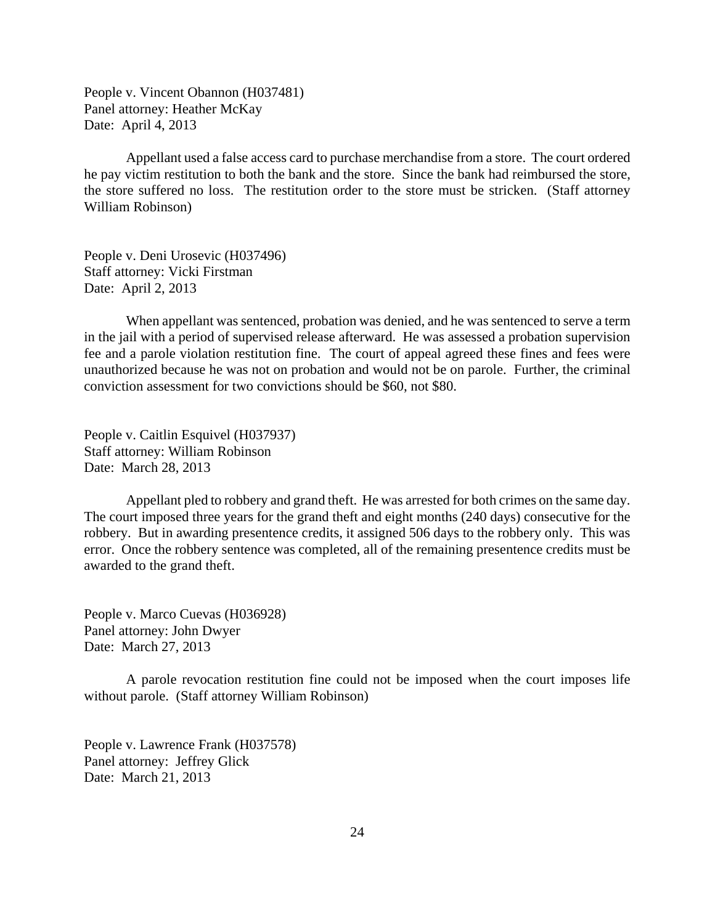People v. Vincent Obannon (H037481) Panel attorney: Heather McKay Date: April 4, 2013

Appellant used a false access card to purchase merchandise from a store. The court ordered he pay victim restitution to both the bank and the store. Since the bank had reimbursed the store, the store suffered no loss. The restitution order to the store must be stricken. (Staff attorney William Robinson)

People v. Deni Urosevic (H037496) Staff attorney: Vicki Firstman Date: April 2, 2013

When appellant was sentenced, probation was denied, and he was sentenced to serve a term in the jail with a period of supervised release afterward. He was assessed a probation supervision fee and a parole violation restitution fine. The court of appeal agreed these fines and fees were unauthorized because he was not on probation and would not be on parole. Further, the criminal conviction assessment for two convictions should be \$60, not \$80.

People v. Caitlin Esquivel (H037937) Staff attorney: William Robinson Date: March 28, 2013

Appellant pled to robbery and grand theft. He was arrested for both crimes on the same day. The court imposed three years for the grand theft and eight months (240 days) consecutive for the robbery. But in awarding presentence credits, it assigned 506 days to the robbery only. This was error. Once the robbery sentence was completed, all of the remaining presentence credits must be awarded to the grand theft.

People v. Marco Cuevas (H036928) Panel attorney: John Dwyer Date: March 27, 2013

A parole revocation restitution fine could not be imposed when the court imposes life without parole. (Staff attorney William Robinson)

People v. Lawrence Frank (H037578) Panel attorney: Jeffrey Glick Date: March 21, 2013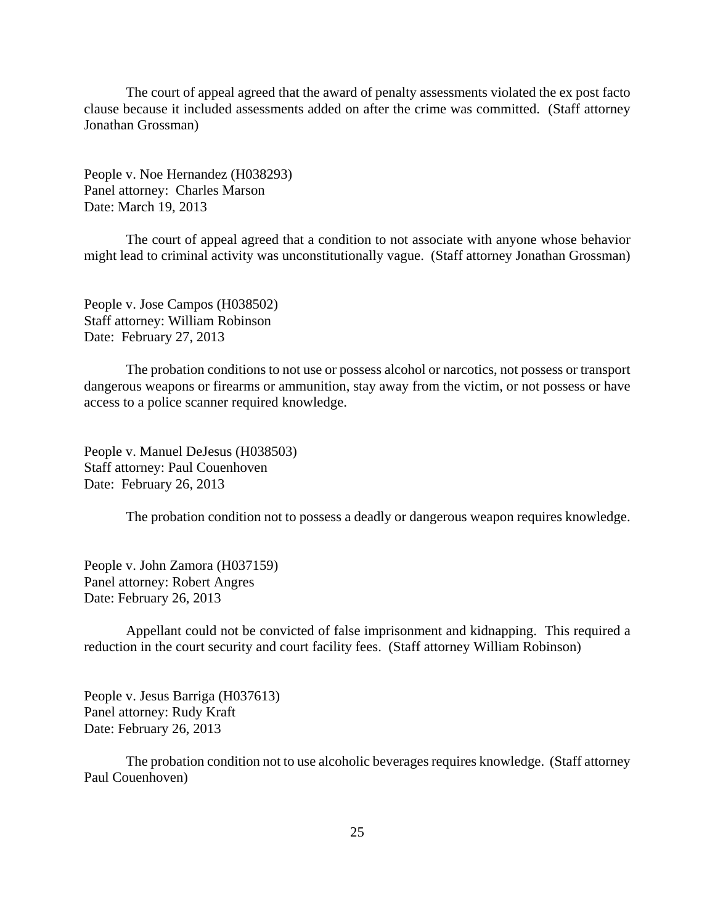The court of appeal agreed that the award of penalty assessments violated the ex post facto clause because it included assessments added on after the crime was committed. (Staff attorney Jonathan Grossman)

People v. Noe Hernandez (H038293) Panel attorney: Charles Marson Date: March 19, 2013

The court of appeal agreed that a condition to not associate with anyone whose behavior might lead to criminal activity was unconstitutionally vague. (Staff attorney Jonathan Grossman)

People v. Jose Campos (H038502) Staff attorney: William Robinson Date: February 27, 2013

The probation conditions to not use or possess alcohol or narcotics, not possess or transport dangerous weapons or firearms or ammunition, stay away from the victim, or not possess or have access to a police scanner required knowledge.

People v. Manuel DeJesus (H038503) Staff attorney: Paul Couenhoven Date: February 26, 2013

The probation condition not to possess a deadly or dangerous weapon requires knowledge.

People v. John Zamora (H037159) Panel attorney: Robert Angres Date: February 26, 2013

Appellant could not be convicted of false imprisonment and kidnapping. This required a reduction in the court security and court facility fees. (Staff attorney William Robinson)

People v. Jesus Barriga (H037613) Panel attorney: Rudy Kraft Date: February 26, 2013

The probation condition not to use alcoholic beverages requires knowledge. (Staff attorney Paul Couenhoven)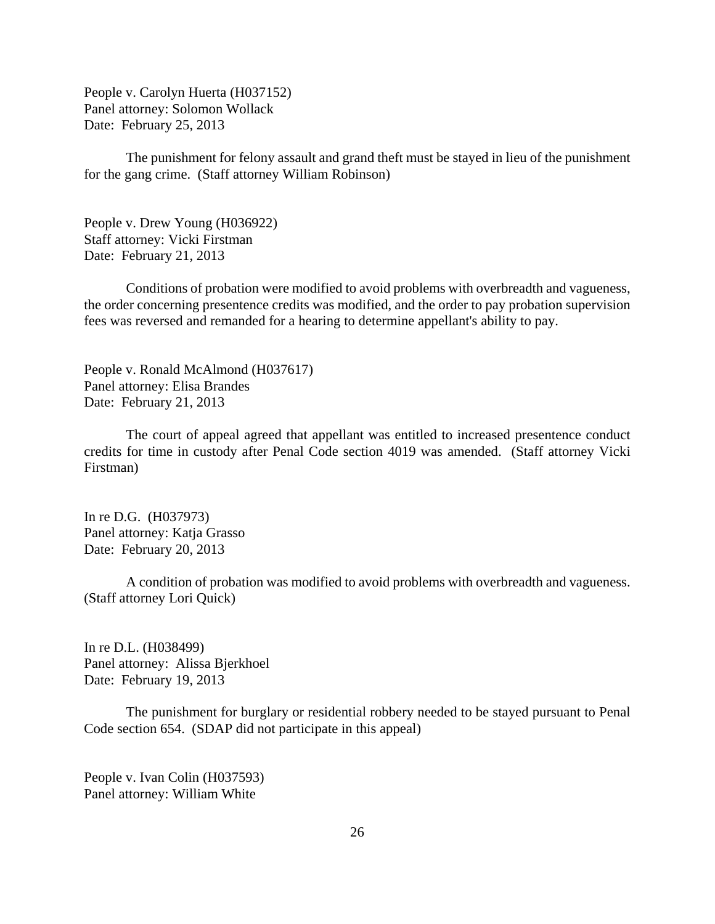People v. Carolyn Huerta (H037152) Panel attorney: Solomon Wollack Date: February 25, 2013

The punishment for felony assault and grand theft must be stayed in lieu of the punishment for the gang crime. (Staff attorney William Robinson)

People v. Drew Young (H036922) Staff attorney: Vicki Firstman Date: February 21, 2013

Conditions of probation were modified to avoid problems with overbreadth and vagueness, the order concerning presentence credits was modified, and the order to pay probation supervision fees was reversed and remanded for a hearing to determine appellant's ability to pay.

People v. Ronald McAlmond (H037617) Panel attorney: Elisa Brandes Date: February 21, 2013

The court of appeal agreed that appellant was entitled to increased presentence conduct credits for time in custody after Penal Code section 4019 was amended. (Staff attorney Vicki Firstman)

In re D.G. (H037973) Panel attorney: Katja Grasso Date: February 20, 2013

A condition of probation was modified to avoid problems with overbreadth and vagueness. (Staff attorney Lori Quick)

In re D.L. (H038499) Panel attorney: Alissa Bjerkhoel Date: February 19, 2013

The punishment for burglary or residential robbery needed to be stayed pursuant to Penal Code section 654. (SDAP did not participate in this appeal)

People v. Ivan Colin (H037593) Panel attorney: William White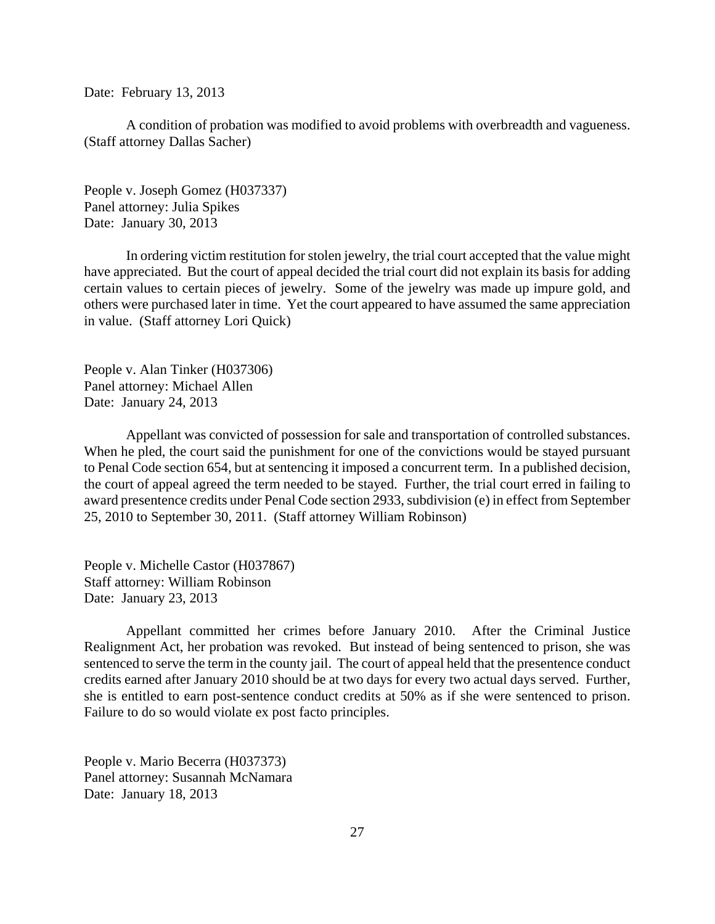Date: February 13, 2013

A condition of probation was modified to avoid problems with overbreadth and vagueness. (Staff attorney Dallas Sacher)

People v. Joseph Gomez (H037337) Panel attorney: Julia Spikes Date: January 30, 2013

In ordering victim restitution for stolen jewelry, the trial court accepted that the value might have appreciated. But the court of appeal decided the trial court did not explain its basis for adding certain values to certain pieces of jewelry. Some of the jewelry was made up impure gold, and others were purchased later in time. Yet the court appeared to have assumed the same appreciation in value. (Staff attorney Lori Quick)

People v. Alan Tinker (H037306) Panel attorney: Michael Allen Date: January 24, 2013

Appellant was convicted of possession for sale and transportation of controlled substances. When he pled, the court said the punishment for one of the convictions would be stayed pursuant to Penal Code section 654, but at sentencing it imposed a concurrent term. In a published decision, the court of appeal agreed the term needed to be stayed. Further, the trial court erred in failing to award presentence credits under Penal Code section 2933, subdivision (e) in effect from September 25, 2010 to September 30, 2011. (Staff attorney William Robinson)

People v. Michelle Castor (H037867) Staff attorney: William Robinson Date: January 23, 2013

Appellant committed her crimes before January 2010. After the Criminal Justice Realignment Act, her probation was revoked. But instead of being sentenced to prison, she was sentenced to serve the term in the county jail. The court of appeal held that the presentence conduct credits earned after January 2010 should be at two days for every two actual days served. Further, she is entitled to earn post-sentence conduct credits at 50% as if she were sentenced to prison. Failure to do so would violate ex post facto principles.

People v. Mario Becerra (H037373) Panel attorney: Susannah McNamara Date: January 18, 2013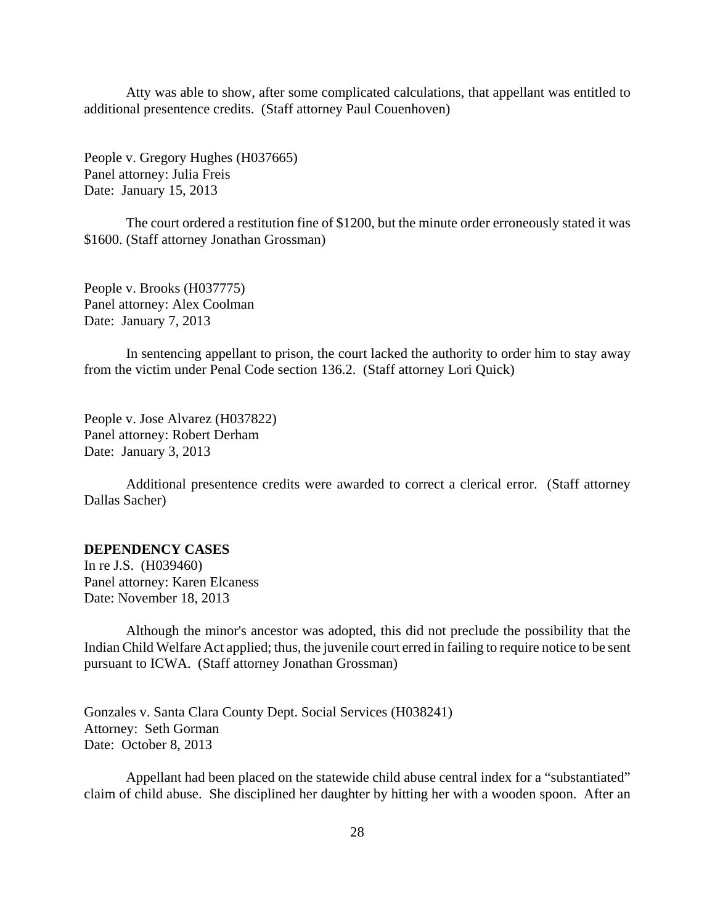<span id="page-27-0"></span>Atty was able to show, after some complicated calculations, that appellant was entitled to additional presentence credits. (Staff attorney Paul Couenhoven)

People v. Gregory Hughes (H037665) Panel attorney: Julia Freis Date: January 15, 2013

The court ordered a restitution fine of \$1200, but the minute order erroneously stated it was \$1600. (Staff attorney Jonathan Grossman)

People v. Brooks (H037775) Panel attorney: Alex Coolman Date: January 7, 2013

In sentencing appellant to prison, the court lacked the authority to order him to stay away from the victim under Penal Code section 136.2. (Staff attorney Lori Quick)

People v. Jose Alvarez (H037822) Panel attorney: Robert Derham Date: January 3, 2013

Additional presentence credits were awarded to correct a clerical error. (Staff attorney Dallas Sacher)

## **DEPENDENCY CASES**

In re J.S. (H039460) Panel attorney: Karen Elcaness Date: November 18, 2013

Although the minor's ancestor was adopted, this did not preclude the possibility that the Indian Child Welfare Act applied; thus, the juvenile court erred in failing to require notice to be sent pursuant to ICWA. (Staff attorney Jonathan Grossman)

Gonzales v. Santa Clara County Dept. Social Services (H038241) Attorney: Seth Gorman Date: October 8, 2013

Appellant had been placed on the statewide child abuse central index for a "substantiated" claim of child abuse. She disciplined her daughter by hitting her with a wooden spoon. After an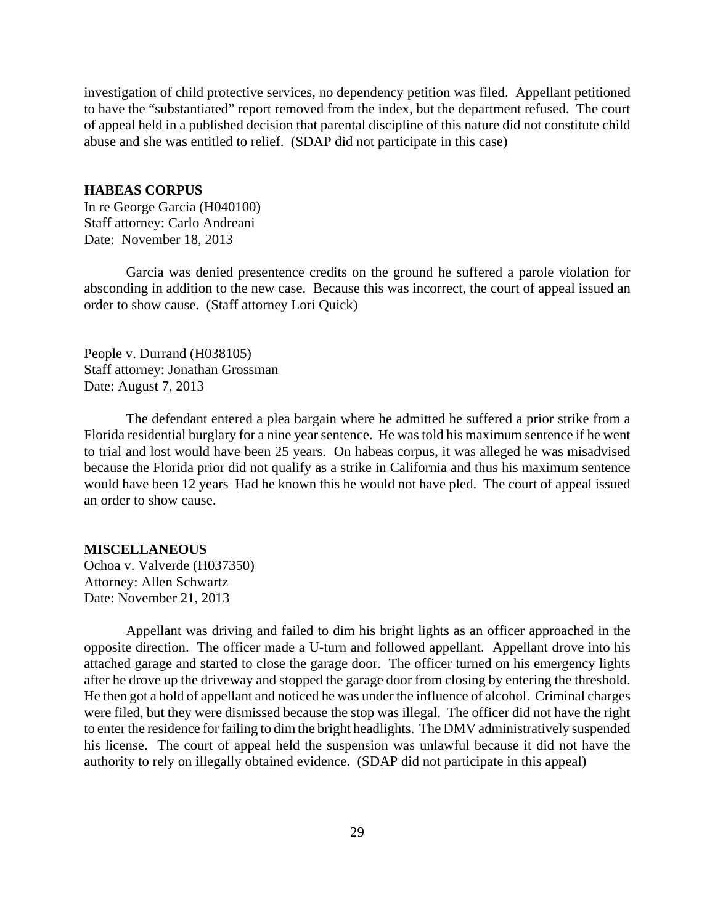<span id="page-28-0"></span>investigation of child protective services, no dependency petition was filed. Appellant petitioned to have the "substantiated" report removed from the index, but the department refused. The court of appeal held in a published decision that parental discipline of this nature did not constitute child abuse and she was entitled to relief. (SDAP did not participate in this case)

#### **HABEAS CORPUS**

In re George Garcia (H040100) Staff attorney: Carlo Andreani Date: November 18, 2013

Garcia was denied presentence credits on the ground he suffered a parole violation for absconding in addition to the new case. Because this was incorrect, the court of appeal issued an order to show cause. (Staff attorney Lori Quick)

People v. Durrand (H038105) Staff attorney: Jonathan Grossman Date: August 7, 2013

The defendant entered a plea bargain where he admitted he suffered a prior strike from a Florida residential burglary for a nine year sentence. He was told his maximum sentence if he went to trial and lost would have been 25 years. On habeas corpus, it was alleged he was misadvised because the Florida prior did not qualify as a strike in California and thus his maximum sentence would have been 12 years Had he known this he would not have pled. The court of appeal issued an order to show cause.

### **MISCELLANEOUS**

Ochoa v. Valverde (H037350) Attorney: Allen Schwartz Date: November 21, 2013

Appellant was driving and failed to dim his bright lights as an officer approached in the opposite direction. The officer made a U-turn and followed appellant. Appellant drove into his attached garage and started to close the garage door. The officer turned on his emergency lights after he drove up the driveway and stopped the garage door from closing by entering the threshold. He then got a hold of appellant and noticed he was under the influence of alcohol. Criminal charges were filed, but they were dismissed because the stop was illegal. The officer did not have the right to enter the residence for failing to dim the bright headlights. The DMV administratively suspended his license. The court of appeal held the suspension was unlawful because it did not have the authority to rely on illegally obtained evidence. (SDAP did not participate in this appeal)